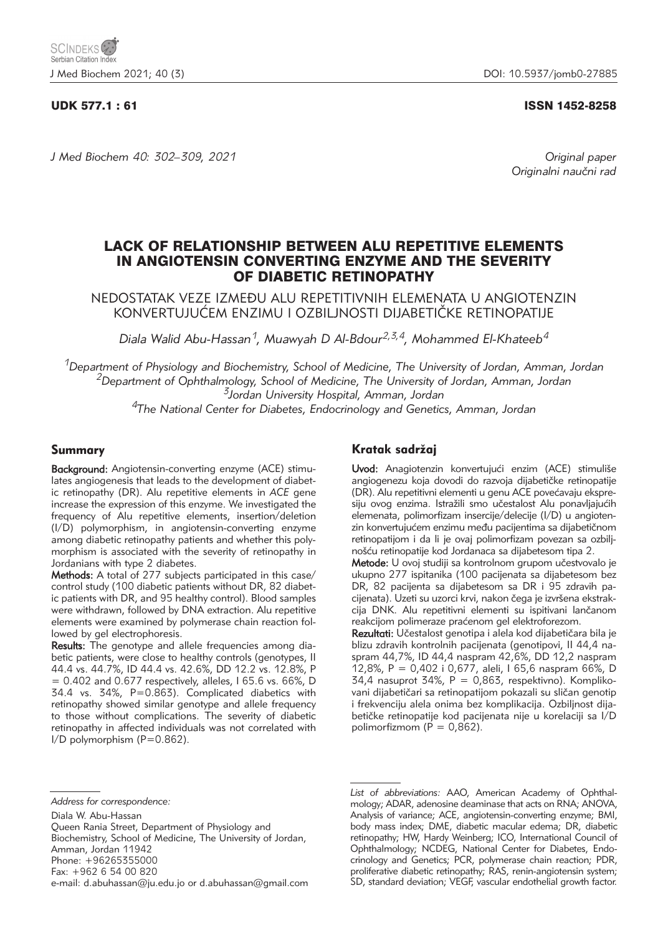### UDK 577.1 : 61 ISSN 1452-8258

*J Med Biochem 40: 302–309, 2021 Original paper*

Originalni naučni rad

# LACK OF RELATIONSHIP BETWEEN ALU REPETITIVE ELEMENTS IN ANGIOTENSIN CONVERTING ENZYME AND THE SEVERITY OF DIABETIC RETINOPATHY

NEDOSTATAK VEZE IZMEĐU ALU REPETITIVNIH ELEMENATA U ANGIOTENZIN KONVERTUJUĆEM ENZIMU I OZBILJNOSTI DIJABETIČKE RETINOPATIJE

*Diala Walid Abu-Hassan1, Muawyah D Al-Bdour2,3,4, Mohammed El-Khateeb4*

*1Department of Physiology and Biochemistry, School of Medicine, The University of Jordan, Amman, Jordan 2Department of Ophthalmology, School of Medicine, The University of Jordan, Amman, Jordan 3Jordan University Hospital, Amman, Jordan*

*4The National Center for Diabetes, Endocrinology and Genetics, Amman, Jordan*

# Summary

Background: Angiotensin-converting enzyme (ACE) stimulates angiogenesis that leads to the development of diabetic retinopathy (DR). Alu repetitive elements in *ACE* gene increase the expression of this enzyme. We investigated the frequency of Alu repetitive elements, insertion/deletion (I/D) polymorphism, in angiotensin-converting enzyme among diabetic retinopathy patients and whether this polymorphism is associated with the severity of retinopathy in Jordanians with type 2 diabetes.

Methods: A total of 277 subjects participated in this case/ control study (100 diabetic patients without DR, 82 diabetic patients with DR, and 95 healthy control). Blood samples were withdrawn, followed by DNA extraction. Alu repetitive elements were examined by polymerase chain reaction followed by gel electrophoresis.

Results: The genotype and allele frequencies among diabetic patients, were close to healthy controls (genotypes, II 44.4 vs. 44.7%, ID 44.4 vs. 42.6%, DD 12.2 vs. 12.8%, P  $= 0.402$  and 0.677 respectively, alleles, I 65.6 vs. 66%, D 34.4 vs. 34%, P=0.863). Complicated diabetics with retinopathy showed similar genotype and allele frequency to those without complications. The severity of diabetic retinopathy in affected individuals was not correlated with I/D polymorphism (P=0.862).

# Kratak sadržaj

Uvod: Anagiotenzin konvertujući enzim (ACE) stimuliše angiogenezu koja dovodi do razvoja dijabetičke retinopatije (DR). Alu repetitivni elementi u genu ACE povećavaju ekspresiju ovog enzima. Istražili smo učestalost Alu ponavljajućih elemenata, polimorfizam insercije/delecije (I/D) u angiotenzin konvertujućem enzimu među pacijentima sa dijabetičnom retinopatijom i da li je ovaj polimorfizam povezan sa ozbiljnošću retinopatije kod Jordanaca sa dijabetesom tipa 2.

Metode: U ovoj studiji sa kontrolnom grupom učestvovalo je ukupno 277 ispitanika (100 pacijenata sa dijabetesom bez DR, 82 pacijenta sa dijabetesom sa DR i 95 zdravih pacijenata). Uzeti su uzorci krvi, nakon čega je izvršena ekstrakcija DNK. Alu repetitivni elementi su ispitivani lančanom reakcijom polimeraze praćenom gel elektroforezom.

Rezultati: Učestalost genotipa i alela kod dijabetičara bila je blizu zdravih kontrolnih pacijenata (genotipovi, Il 44,4 naspram 44,7%, ID 44,4 naspram 42,6%, DD 12,2 naspram 12,8%, P = 0,402 i 0,677, aleli, I 65,6 naspram 66%, D 34,4 nasuprot 34%,  $P = 0.863$ , respektivno). Komplikovani dijabetičari sa retinopatijom pokazali su sličan genotip i frekvenciju alela onima bez komplikacija. Ozbiljnost dijabetičke retinopatije kod pacijenata nije u korelaciji sa I/D polimorfizmom ( $P = 0.862$ ).

List of abbreviations: AAO, American Academy of Ophthalmology; ADAR, adenosine deaminase that acts on RNA; ANOVA, Analysis of variance; ACE, angiotensin-converting enzyme; BMI, body mass index; DME, diabetic macular edema; DR, diabetic retinopathy; HW, Hardy Weinberg; ICO, International Council of Ophthalmology; NCDEG, National Center for Diabetes, Endocrinology and Genetics; PCR, polymerase chain reaction; PDR, proliferative diabetic retinopathy; RAS, renin-angiotensin system; SD, standard deviation; VEGF, vascular endothelial growth factor.

*Address for correspondence:*

Diala W. Abu-Hassan

Queen Rania Street, Department of Physiology and

Biochemistry, School of Medicine, The University of Jordan, Amman, Jordan 11942

Phone: +96265355000

Fax: +962 6 54 00 820

e-mail: d.abuhassan@ju.edu.jo or d.abuhassan@gmail.com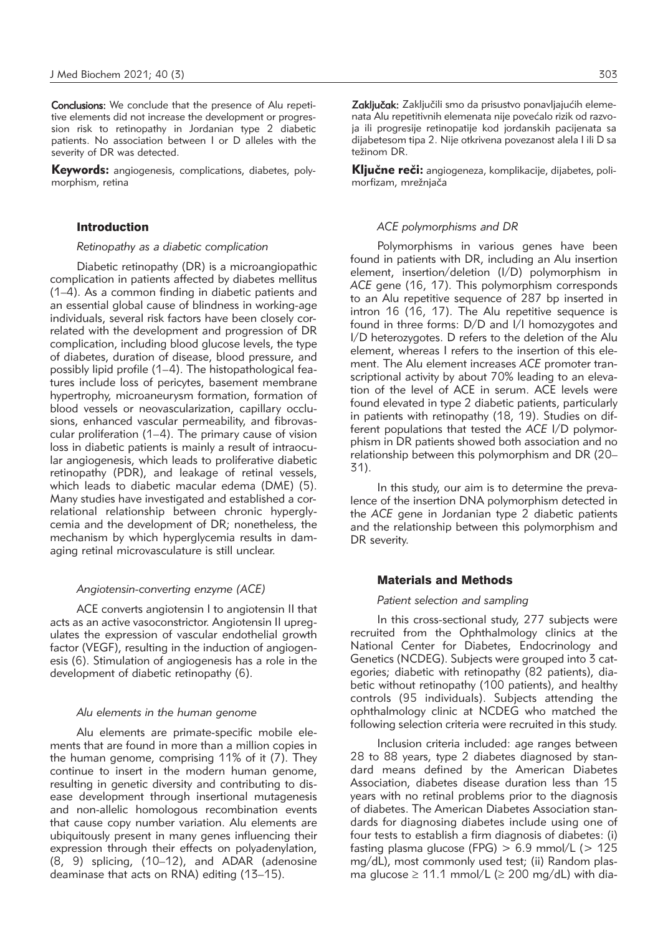Conclusions: We conclude that the presence of Alu repetitive elements did not increase the development or progression risk to retinopathy in Jordanian type 2 diabetic patients. No association between I or D alleles with the severity of DR was detected.

Keywords: angiogenesis, complications, diabetes, polymorphism, retina

#### Introduction

*Retinopathy as a diabetic complication*

Diabetic retinopathy (DR) is a microangiopathic complication in patients affected by diabetes mellitus (1–4). As a common finding in diabetic patients and an essential global cause of blindness in working-age individuals, several risk factors have been closely correlated with the development and progression of DR complication, including blood glucose levels, the type of diabetes, duration of disease, blood pressure, and possibly lipid profile (1–4). The histopathological features include loss of pericytes, basement membrane hypertrophy, microaneurysm formation, formation of blood vessels or neovascularization, capillary occlusions, enhanced vascular permeability, and fibrovascular proliferation (1–4). The primary cause of vision loss in diabetic patients is mainly a result of intraocular angiogenesis, which leads to proliferative diabetic retinopathy (PDR), and leakage of retinal vessels, which leads to diabetic macular edema (DME) (5). Many studies have investigated and established a correlational relationship between chronic hyperglycemia and the development of DR; nonetheless, the mechanism by which hyperglycemia results in damaging retinal microvasculature is still unclear.

#### *Angiotensin-converting enzyme (ACE)*

ACE converts angiotensin I to angiotensin II that acts as an active vasoconstrictor. Angiotensin II upregulates the expression of vascular endothelial growth factor (VEGF), resulting in the induction of angiogenesis (6). Stimulation of angiogenesis has a role in the development of diabetic retinopathy (6).

# *Alu elements in the human genome*

Alu elements are primate-specific mobile elements that are found in more than a million copies in the human genome, comprising 11% of it (7). They continue to insert in the modern human genome, resulting in genetic diversity and contributing to disease development through insertional mutagenesis and non-allelic homologous recombination events that cause copy number variation. Alu elements are ubiquitously present in many genes influencing their expression through their effects on polyadenylation, (8, 9) splicing, (10–12), and ADAR (adenosine deaminase that acts on RNA) editing (13–15).

Zaključak: Zaključili smo da prisustvo ponavljajućih elemenata Alu repetitivnih elemenata nije povećalo rizik od razvoja ili progresije retinopatije kod jordanskih pacijenata sa dijabetesom tipa 2. Nije otkrivena povezanost alela I ili D sa težinom DR.

Ključne reči: angiogeneza, komplikacije, dijabetes, polimorfizam, mrežnjača

#### *ACE polymorphisms and DR*

Polymorphisms in various genes have been found in patients with DR, including an Alu insertion element, insertion/deletion (I/D) polymorphism in *ACE* gene (16, 17). This polymorphism corresponds to an Alu repetitive sequence of 287 bp inserted in intron 16 (16, 17). The Alu repetitive sequence is found in three forms: D/D and I/I homozygotes and I/D heterozygotes. D refers to the deletion of the Alu element, whereas I refers to the insertion of this element. The Alu element increases *ACE* promoter transcriptional activity by about 70% leading to an elevation of the level of ACE in serum. ACE levels were found elevated in type 2 diabetic patients, particularly in patients with retinopathy (18, 19). Studies on different populations that tested the *ACE* I/D polymorphism in DR patients showed both association and no relationship between this polymorphism and DR (20– 31).

In this study, our aim is to determine the prevalence of the insertion DNA polymorphism detected in the *ACE* gene in Jordanian type 2 diabetic patients and the relationship between this polymorphism and DR severity.

#### Materials and Methods

#### *Patient selection and sampling*

In this cross-sectional study, 277 subjects were recruited from the Ophthalmology clinics at the National Center for Diabetes, Endocrinology and Genetics (NCDEG). Subjects were grouped into 3 categories; diabetic with retinopathy (82 patients), diabetic without retinopathy (100 patients), and healthy controls (95 individuals). Subjects attending the ophthalmology clinic at NCDEG who matched the following selection criteria were recruited in this study.

Inclusion criteria included: age ranges between 28 to 88 years, type 2 diabetes diagnosed by standard means defined by the American Diabetes Association, diabetes disease duration less than 15 years with no retinal problems prior to the diagnosis of diabetes. The American Diabetes Association standards for diagnosing diabetes include using one of four tests to establish a firm diagnosis of diabetes: (i) fasting plasma glucose (FPG)  $> 6.9$  mmol/L ( $> 125$ mg/dL), most commonly used test; (ii) Random plasma glucose  $\geq 11.1$  mmol/L ( $\geq 200$  mg/dL) with dia-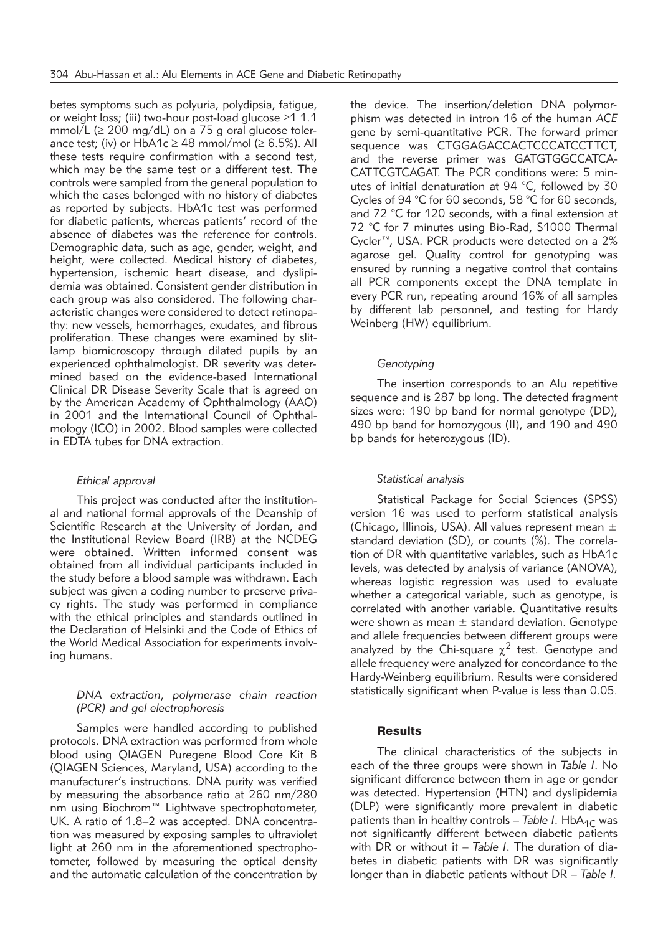betes symptoms such as polyuria, polydipsia, fatigue, or weight loss; (iii) two-hour post-load glucose  $\geq 1$  1.1 mmol/L ( $\geq$  200 mg/dL) on a 75 g oral glucose tolerance test; (iv) or HbA1c  $\geq$  48 mmol/mol ( $\geq$  6.5%). All these tests require confirmation with a second test, which may be the same test or a different test. The controls were sampled from the general population to which the cases belonged with no history of diabetes as reported by subjects. HbA1c test was performed for diabetic patients, whereas patients' record of the absence of diabetes was the reference for controls. Demographic data, such as age, gender, weight, and height, were collected. Medical history of diabetes, hypertension, ischemic heart disease, and dyslipidemia was obtained. Consistent gender distribution in each group was also considered. The following characteristic changes were considered to detect retinopathy: new vessels, hemorrhages, exudates, and fibrous proliferation. These changes were examined by slitlamp biomicroscopy through dilated pupils by an experienced ophthalmologist. DR severity was determined based on the evidence-based International Clinical DR Disease Severity Scale that is agreed on by the American Academy of Ophthalmology (AAO) in 2001 and the International Council of Ophthalmology (ICO) in 2002. Blood samples were collected in EDTA tubes for DNA extraction.

#### *Ethical approval*

This project was conducted after the institutional and national formal approvals of the Deanship of Scientific Research at the University of Jordan, and the Institutional Review Board (IRB) at the NCDEG were obtained. Written informed consent was obtained from all individual participants included in the study before a blood sample was withdrawn. Each subject was given a coding number to preserve privacy rights. The study was performed in compliance with the ethical principles and standards outlined in the Declaration of Helsinki and the Code of Ethics of the World Medical Association for experiments involving humans.

### *DNA extraction, polymerase chain reaction (PCR) and gel electrophoresis*

Samples were handled according to published protocols. DNA extraction was performed from whole blood using QIAGEN Puregene Blood Core Kit B (QIAGEN Sciences, Maryland, USA) according to the manufacturer's instructions. DNA purity was verified by measuring the absorbance ratio at 260 nm/280 nm using Biochrom™ Lightwave spectrophotometer, UK. A ratio of 1.8–2 was accepted. DNA concentration was measured by exposing samples to ultraviolet light at 260 nm in the aforementioned spectrophotometer, followed by measuring the optical density and the automatic calculation of the concentration by

the device. The insertion/deletion DNA polymorphism was detected in intron 16 of the human *ACE* gene by semi-quantitative PCR. The forward primer sequence was CTGGAGACCACTCCCATCCTTCT, and the reverse primer was GATGTGGCCATCA-CATTCGTCAGAT. The PCR conditions were: 5 minutes of initial denaturation at 94 °C, followed by 30 Cycles of 94 °C for 60 seconds, 58 °C for 60 seconds, and 72 °C for 120 seconds, with a final extension at 72 °C for 7 minutes using Bio-Rad, S1000 Thermal Cycler™, USA. PCR products were detected on a 2% agarose gel. Quality control for genotyping was ensured by running a negative control that contains all PCR components except the DNA template in every PCR run, repeating around 16% of all samples by different lab personnel, and testing for Hardy Weinberg (HW) equilibrium.

### *Genotyping*

The insertion corresponds to an Alu repetitive sequence and is 287 bp long. The detected fragment sizes were: 190 bp band for normal genotype (DD), 490 bp band for homozygous (II), and 190 and 490 bp bands for heterozygous (ID).

#### *Statistical analysis*

Statistical Package for Social Sciences (SPSS) version 16 was used to perform statistical analysis (Chicago, Illinois, USA). All values represent mean ± standard deviation (SD), or counts (%). The correlation of DR with quantitative variables, such as HbA1c levels, was detected by analysis of variance (ANOVA), whereas logistic regression was used to evaluate whether a categorical variable, such as genotype, is correlated with another variable. Quantitative results were shown as mean  $\pm$  standard deviation. Genotype and allele frequencies between different groups were analyzed by the Chi-square  $\chi^2$  test. Genotype and allele frequency were analyzed for concordance to the Hardy-Weinberg equilibrium. Results were considered statistically significant when P-value is less than 0.05.

#### Results

The clinical characteristics of the subjects in each of the three groups were shown in *Table I*. No significant difference between them in age or gender was detected. Hypertension (HTN) and dyslipidemia (DLP) were significantly more prevalent in diabetic patients than in healthy controls - Table I. HbA<sub>1C</sub> was not significantly different between diabetic patients with DR or without it – *Table I*. The duration of diabetes in diabetic patients with DR was significantly longer than in diabetic patients without DR – *Table I.*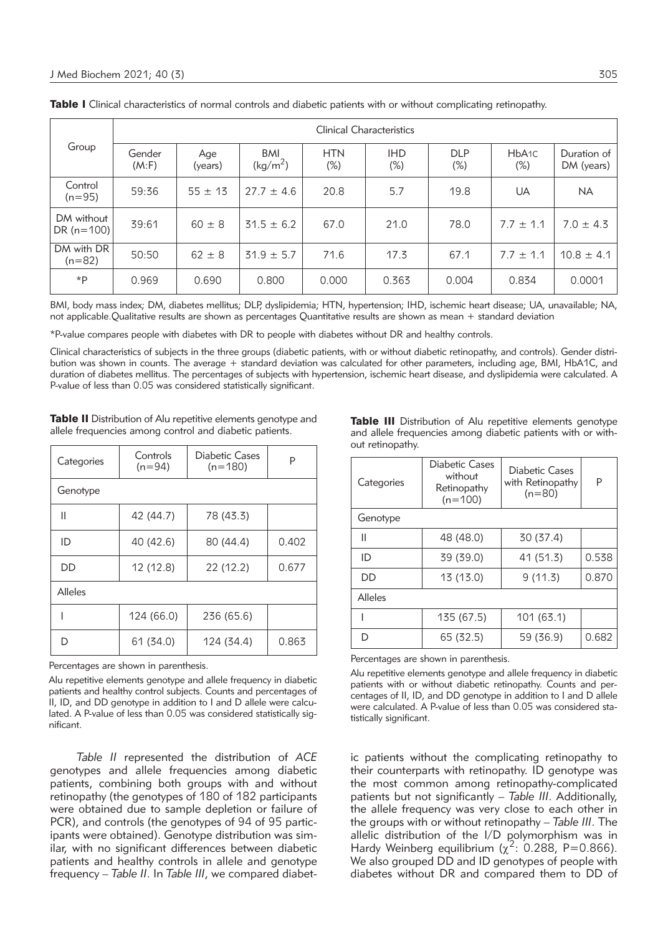| Group                      | Clinical Characteristics |                |                                    |                      |                      |                      |                             |                           |
|----------------------------|--------------------------|----------------|------------------------------------|----------------------|----------------------|----------------------|-----------------------------|---------------------------|
|                            | Gender<br>(M:F)          | Age<br>(years) | <b>BMI</b><br>(kg/m <sup>2</sup> ) | <b>HTN</b><br>$(\%)$ | <b>IHD</b><br>$(\%)$ | <b>DLP</b><br>$(\%)$ | HbA <sub>1C</sub><br>$(\%)$ | Duration of<br>DM (years) |
| Control<br>$(n=95)$        | 59:36                    | $55 \pm 13$    | $27.7 \pm 4.6$                     | 20.8                 | 5.7                  | 19.8                 | UA                          | <b>NA</b>                 |
| DM without<br>DR $(n=100)$ | 39:61                    | $60 \pm 8$     | $31.5 \pm 6.2$                     | 67.0                 | 21.0                 | 78.0                 | $7.7 \pm 1.1$               | $7.0 \pm 4.3$             |
| DM with DR<br>$(n=82)$     | 50:50                    | $62 \pm 8$     | $31.9 \pm 5.7$                     | 71.6                 | 17.3                 | 67.1                 | $7.7 \pm 1.1$               | $10.8 \pm 4.1$            |
| *P                         | 0.969                    | 0.690          | 0.800                              | 0.000                | 0.363                | 0.004                | 0.834                       | 0.0001                    |

Table I Clinical characteristics of normal controls and diabetic patients with or without complicating retinopathy.

BMI, body mass index; DM, diabetes mellitus; DLP, dyslipidemia; HTN, hypertension; IHD, ischemic heart disease; UA, unavailable; NA, not applicable.Qualitative results are shown as percentages Quantitative results are shown as mean + standard deviation

\*P-value compares people with diabetes with DR to people with diabetes without DR and healthy controls.

Clinical characteristics of subjects in the three groups (diabetic patients, with or without diabetic retinopathy, and controls). Gender distribution was shown in counts. The average + standard deviation was calculated for other parameters, including age, BMI, HbA1C, and duration of diabetes mellitus. The percentages of subjects with hypertension, ischemic heart disease, and dyslipidemia were calculated. A P-value of less than 0.05 was considered statistically significant.

Table II Distribution of Alu repetitive elements genotype and allele frequencies among control and diabetic patients.

| Categories | Controls<br>$(n=94)$ | <b>Diabetic Cases</b><br>$(n=180)$ | P     |  |  |
|------------|----------------------|------------------------------------|-------|--|--|
| Genotype   |                      |                                    |       |  |  |
| Ш          | 42 (44.7)            | 78 (43.3)                          |       |  |  |
| ID         | 40 (42.6)            | 80 (44.4)                          | 0.402 |  |  |
| DD         | 12 (12.8)            | 22 (12.2)                          | 0.677 |  |  |
| Alleles    |                      |                                    |       |  |  |
|            | 124 (66.0)           | 236 (65.6)                         |       |  |  |
| D          | 61 (34.0)            | 124 (34.4)                         | 0.863 |  |  |

Percentages are shown in parenthesis.

Alu repetitive elements genotype and allele frequency in diabetic patients and healthy control subjects. Counts and percentages of II, ID, and DD genotype in addition to I and D allele were calculated. A P-value of less than 0.05 was considered statistically significant.

*Table II* represented the distribution of *ACE* genotypes and allele frequencies among diabetic patients, combining both groups with and without retinopathy (the genotypes of 180 of 182 participants were obtained due to sample depletion or failure of PCR), and controls (the genotypes of 94 of 95 participants were obtained). Genotype distribution was similar, with no significant differences between diabetic patients and healthy controls in allele and genotype frequency – *Table II*. In *Table III*, we compared diabetTable III Distribution of Alu repetitive elements genotype and allele frequencies among diabetic patients with or without retinopathy.

| Categories | <b>Diabetic Cases</b><br>without<br>Retinopathy<br>$(n=100)$ | Diabetic Cases<br>with Retinopathy<br>$(n=80)$ | P     |  |  |
|------------|--------------------------------------------------------------|------------------------------------------------|-------|--|--|
| Genotype   |                                                              |                                                |       |  |  |
| Ш          | 48 (48.0)                                                    | 30 (37.4)                                      |       |  |  |
| ID         | 39 (39.0)                                                    | 41 (51.3)                                      | 0.538 |  |  |
| DD         | 13 (13.0)                                                    | 9(11.3)                                        | 0.870 |  |  |
| Alleles    |                                                              |                                                |       |  |  |
|            | 135 (67.5)                                                   | 101 (63.1)                                     |       |  |  |
| D          | 65 (32.5)                                                    | 59 (36.9)                                      | 0.682 |  |  |

Percentages are shown in parenthesis.

Alu repetitive elements genotype and allele frequency in diabetic patients with or without diabetic retinopathy. Counts and percentages of II, ID, and DD genotype in addition to I and D allele were calculated. A P-value of less than 0.05 was considered statistically significant.

ic patients without the complicating retinopathy to their counterparts with retinopathy. ID genotype was the most common among retinopathy-complicated patients but not significantly – *Table III*. Additionally, the allele frequency was very close to each other in the groups with or without retinopathy – *Table III*. The allelic distribution of the I/D polymorphism was in Hardy Weinberg equilibrium  $(x^2: 0.288, P=0.866)$ . We also grouped DD and ID genotypes of people with diabetes without DR and compared them to DD of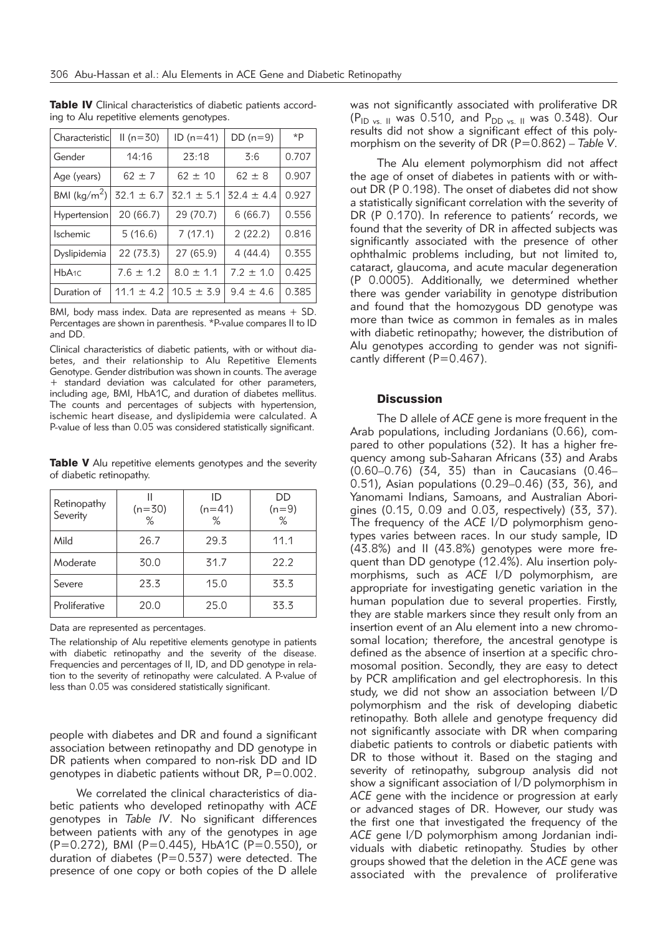| Characteristic          | $II(n=30)$     | $ID(n=41)$     | $DD(n=9)$      | $*P$  |
|-------------------------|----------------|----------------|----------------|-------|
| Gender                  | 14:16          | 23:18          | 3:6            | 0.707 |
| Age (years)             | $62 \pm 7$     | $62 \pm 10$    | $62 \pm 8$     | 0.907 |
| BMI ( $\text{kg/m}^2$ ) | $32.1 \pm 6.7$ | $32.1 \pm 5.1$ | $32.4 \pm 4.4$ | 0.927 |
| Hypertension            | 20 (66.7)      | 29 (70.7)      | 6(66.7)        | 0.556 |
| <b>Ischemic</b>         | 5(16.6)        | 7(17.1)        | 2(22.2)        | 0.816 |
| Dyslipidemia            | 22 (73.3)      | 27 (65.9)      | 4(44.4)        | 0.355 |
| HbA <sub>1C</sub>       | $7.6 \pm 1.2$  | $8.0 \pm 1.1$  | $7.2 \pm 1.0$  | 0.425 |
| Duration of             | $11.1 \pm 4.2$ | $10.5 \pm 3.9$ | $9.4 \pm 4.6$  | 0.385 |

Table IV Clinical characteristics of diabetic patients according to Alu repetitive elements genotypes.

BMI, body mass index. Data are represented as means + SD. Percentages are shown in parenthesis. \*P-value compares II to ID and DD.

Clinical characteristics of diabetic patients, with or without diabetes, and their relationship to Alu Repetitive Elements Genotype. Gender distribution was shown in counts. The average + standard deviation was calculated for other parameters, including age, BMI, HbA1C, and duration of diabetes mellitus. The counts and percentages of subjects with hypertension, ischemic heart disease, and dyslipidemia were calculated. A P-value of less than 0.05 was considered statistically significant.

Table V Alu repetitive elements genotypes and the severity of diabetic retinopathy.

| Retinopathy<br>Severity | $(n=30)$<br>% | ID<br>$(n=41)$<br>% | DD<br>$(n=9)$<br>$\%$ |
|-------------------------|---------------|---------------------|-----------------------|
| Mild                    | 26.7          | 29.3                | 11.1                  |
| Moderate                | 30.0          | 31.7                | 22.2                  |
| Severe                  | 23.3          | 15.0                | 33.3                  |
| Proliferative           | 20.0          | 25.0                | 33.3                  |

Data are represented as percentages.

The relationship of Alu repetitive elements genotype in patients with diabetic retinopathy and the severity of the disease. Frequencies and percentages of II, ID, and DD genotype in relation to the severity of retinopathy were calculated. A P-value of less than 0.05 was considered statistically significant.

people with diabetes and DR and found a significant association between retinopathy and DD genotype in DR patients when compared to non-risk DD and ID genotypes in diabetic patients without DR, P=0.002.

We correlated the clinical characteristics of diabetic patients who developed retinopathy with *ACE* genotypes in *Table IV*. No significant differences between patients with any of the genotypes in age (P=0.272), BMI (P=0.445), HbA1C (P=0.550), or duration of diabetes ( $P=0.537$ ) were detected. The presence of one copy or both copies of the D allele was not significantly associated with proliferative DR  $(P_{ID \text{ vs. II}} \text{ was } 0.510, \text{ and } P_{DD \text{ vs. II}} \text{ was } 0.348)$ . Our results did not show a significant effect of this polymorphism on the severity of DR (P=0.862) – *Table V*.

The Alu element polymorphism did not affect the age of onset of diabetes in patients with or without DR (P 0.198). The onset of diabetes did not show a statistically significant correlation with the severity of DR (P 0.170). In reference to patients' records, we found that the severity of DR in affected subjects was significantly associated with the presence of other ophthalmic problems including, but not limited to, cataract, glaucoma, and acute macular degeneration (P 0.0005). Additionally, we determined whether there was gender variability in genotype distribution and found that the homozygous DD genotype was more than twice as common in females as in males with diabetic retinopathy; however, the distribution of Alu genotypes according to gender was not significantly different (P=0.467).

## **Discussion**

The D allele of *ACE* gene is more frequent in the Arab populations, including Jordanians (0.66), compared to other populations (32). It has a higher frequency among sub-Saharan Africans (33) and Arabs (0.60–0.76) (34, 35) than in Caucasians (0.46– 0.51), Asian populations (0.29–0.46) (33, 36), and Yanomami Indians, Samoans, and Australian Aborigines (0.15, 0.09 and 0.03, respectively) (33, 37). The frequency of the *ACE* I/D polymorphism genotypes varies between races. In our study sample, ID (43.8%) and II (43.8%) genotypes were more frequent than DD genotype (12.4%). Alu insertion polymorphisms, such as *ACE* I/D polymorphism, are appropriate for investigating genetic variation in the human population due to several properties. Firstly, they are stable markers since they result only from an insertion event of an Alu element into a new chromosomal location; therefore, the ancestral genotype is defined as the absence of insertion at a specific chromosomal position. Secondly, they are easy to detect by PCR amplification and gel electrophoresis. In this study, we did not show an association between I/D polymorphism and the risk of developing diabetic retinopathy. Both allele and genotype frequency did not significantly associate with DR when comparing diabetic patients to controls or diabetic patients with DR to those without it. Based on the staging and severity of retinopathy, subgroup analysis did not show a significant association of I/D polymorphism in *ACE* gene with the incidence or progression at early or advanced stages of DR. However, our study was the first one that investigated the frequency of the *ACE* gene I/D polymorphism among Jordanian individuals with diabetic retinopathy. Studies by other groups showed that the deletion in the *ACE* gene was associated with the prevalence of proliferative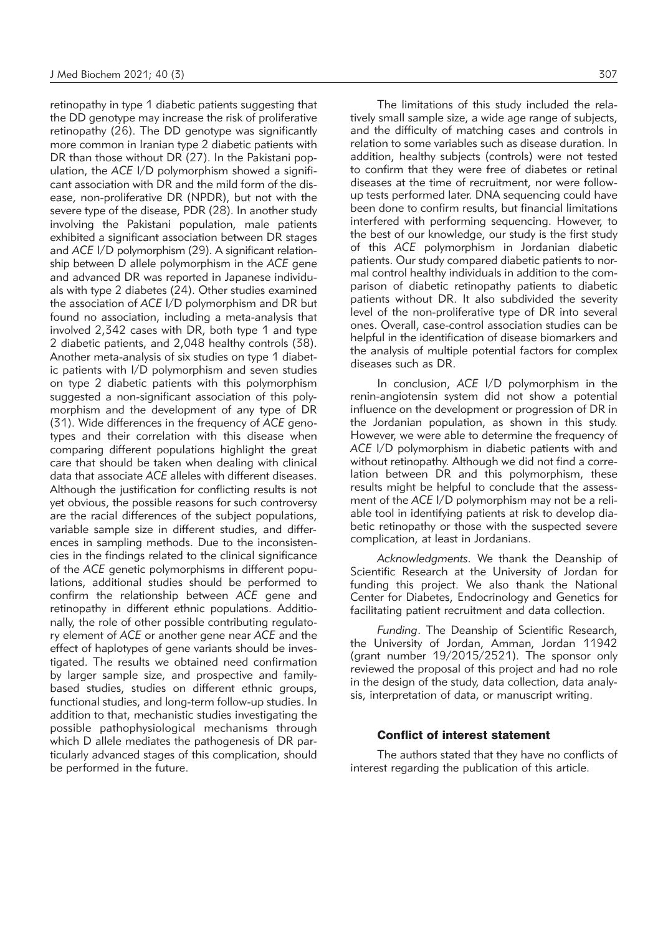retinopathy in type 1 diabetic patients suggesting that the DD genotype may increase the risk of proliferative retinopathy (26). The DD genotype was significantly more common in Iranian type 2 diabetic patients with DR than those without DR (27). In the Pakistani population, the *ACE* I/D polymorphism showed a significant association with DR and the mild form of the disease, non-proliferative DR (NPDR), but not with the severe type of the disease, PDR (28). In another study involving the Pakistani population, male patients exhibited a significant association between DR stages and *ACE* I/D polymorphism (29). A significant relationship between D allele polymorphism in the *ACE* gene and advanced DR was reported in Japanese individuals with type 2 diabetes (24). Other studies examined the association of *ACE* I/D polymorphism and DR but found no association, including a meta-analysis that involved 2,342 cases with DR, both type 1 and type 2 diabetic patients, and 2,048 healthy controls (38). Another meta-analysis of six studies on type 1 diabetic patients with I/D polymorphism and seven studies on type 2 diabetic patients with this polymorphism suggested a non-significant association of this polymorphism and the development of any type of DR (31). Wide differences in the frequency of *ACE* genotypes and their correlation with this disease when comparing different populations highlight the great care that should be taken when dealing with clinical data that associate *ACE* alleles with different diseases. Although the justification for conflicting results is not yet obvious, the possible reasons for such controversy are the racial differences of the subject populations, variable sample size in different studies, and differences in sampling methods. Due to the inconsistencies in the findings related to the clinical significance of the *ACE* genetic polymorphisms in different populations, additional studies should be performed to con firm the relationship between *ACE* gene and retinopathy in different ethnic populations. Additionally, the role of other possible contributing regulatory element of *ACE* or another gene near *ACE* and the effect of haplotypes of gene variants should be investigated. The results we obtained need confirmation by larger sample size, and prospective and familybased studies, studies on different ethnic groups, functional studies, and long-term follow-up studies. In addition to that, mechanistic studies investigating the possible pathophysiological mechanisms through which D allele mediates the pathogenesis of DR particularly advanced stages of this complication, should be performed in the future.

The limitations of this study included the relatively small sample size, a wide age range of subjects, and the difficulty of matching cases and controls in relation to some variables such as disease duration. In addition, healthy subjects (controls) were not tested to confirm that they were free of diabetes or retinal diseases at the time of recruitment, nor were followup tests performed later. DNA sequencing could have been done to confirm results, but financial limitations interfered with performing sequencing. However, to the best of our knowledge, our study is the first study of this *ACE* polymorphism in Jordanian diabetic patients. Our study compared diabetic patients to normal control healthy individuals in addition to the comparison of diabetic retinopathy patients to diabetic patients without DR. It also subdivided the severity level of the non-proliferative type of DR into several ones. Overall, case-control association studies can be helpful in the identification of disease biomarkers and the analysis of multiple potential factors for complex diseases such as DR.

In conclusion, *ACE* I/D polymorphism in the renin-angiotensin system did not show a potential influence on the development or progression of DR in the Jordanian population, as shown in this study. However, we were able to determine the frequency of *ACE* I/D polymorphism in diabetic patients with and without retinopathy. Although we did not find a correlation between DR and this polymorphism, these results might be helpful to conclude that the assessment of the *ACE* I/D polymorphism may not be a reliable tool in identifying patients at risk to develop diabetic retinopathy or those with the suspected severe complication, at least in Jordanians.

*Acknowledgments.* We thank the Deanship of Scientific Research at the University of Jordan for funding this project. We also thank the National Center for Diabetes, Endocrinology and Genetics for facilitating patient recruitment and data collection.

*Funding*. The Deanship of Scientific Research, the University of Jordan, Amman, Jordan 11942 (grant number 19/2015/2521). The sponsor only reviewed the proposal of this project and had no role in the design of the study, data collection, data analysis, interpretation of data, or manuscript writing.

## Conflict of interest statement

The authors stated that they have no conflicts of interest regarding the publication of this article.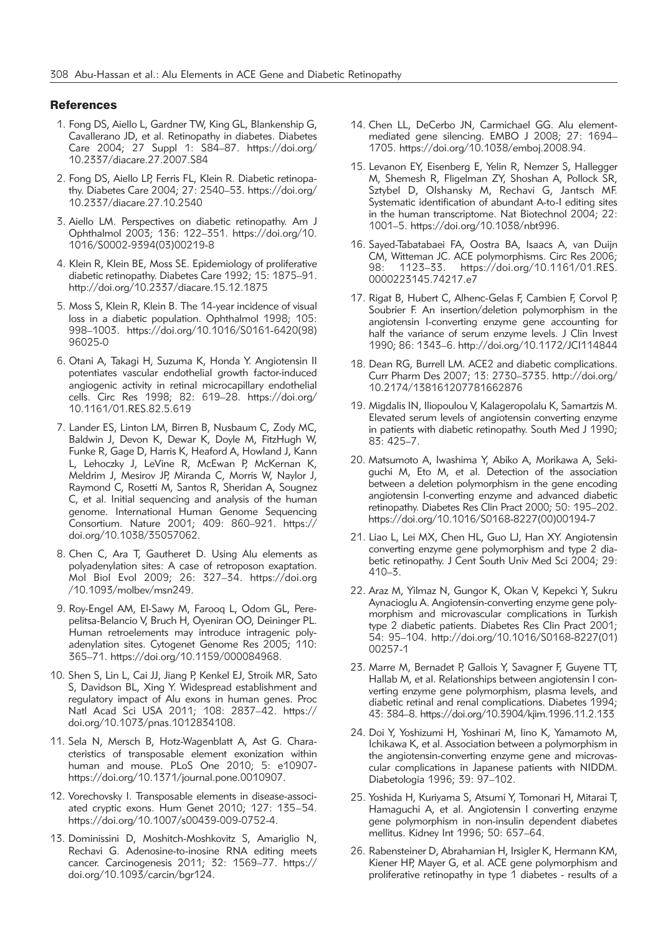#### **References**

- 1. Fong DS, Aiello L, Gardner TW, King GL, Blankenship G, Cavallerano JD, et al. Retinopathy in diabetes. Diabetes Care 2004; 27 Suppl 1: S84–87. https://doi.org/ 10.2337/diacare.27.2007.S84
- 2. Fong DS, Aiello LP, Ferris FL, Klein R. Diabetic retinopathy. Diabetes Care 2004; 27: 2540–53. https://doi.org/ 10.2337/diacare.27.10.2540
- 3. Aiello LM. Perspectives on diabetic retinopathy. Am J Ophthalmol 2003; 136: 122–351. https://doi.org/10. 1016/S0002-9394(03)00219-8
- 4. Klein R, Klein BE, Moss SE. Epidemiology of proliferative diabetic retinopathy. Diabetes Care 1992; 15: 1875–91. http://doi.org/10.2337/diacare.15.12.1875
- 5. Moss S, Klein R, Klein B. The 14-year incidence of visual loss in a diabetic population. Ophthalmol 1998; 105: 998–1003. https://doi.org/10.1016/S0161-6420(98) 96025-0
- 6. Otani A, Takagi H, Suzuma K, Honda Y. Angiotensin II potentiates vascular endothelial growth factor-induced angiogenic activity in retinal microcapillary endothelial cells. Circ Res 1998; 82: 619–28. https://doi.org/ 10.1161/01.RES.82.5.619
- 7. Lander ES, Linton LM, Birren B, Nusbaum C, Zody MC, Baldwin J, Devon K, Dewar K, Doyle M, FitzHugh W, Funke R, Gage D, Harris K, Heaford A, Howland J, Kann L, Lehoczky J, LeVine R, McEwan P, McKernan K, Meldrim J, Mesirov JP, Miranda C, Morris W, Naylor J, Raymond C, Rosetti M, Santos R, Sheridan A, Sougnez C, et al. Initial sequencing and analysis of the human genome. International Human Genome Sequencing Consortium. Nature 2001; 409: 860–921. https:// doi.org/10.1038/35057062.
- 8. Chen C, Ara T, Gautheret D. Using Alu elements as polyadenylation sites: A case of retroposon exaptation. Mol Biol Evol 2009; 26: 327–34. https://doi.org /10.1093/molbev/msn249.
- 9. Roy-Engel AM, El-Sawy M, Farooq L, Odom GL, Perepelitsa-Belancio V, Bruch H, Oyeniran OO, Deininger PL. Human retroelements may introduce intragenic polyadenylation sites. Cytogenet Genome Res 2005; 110: 365–71. https://doi.org/10.1159/000084968.
- 10. Shen S, Lin L, Cai JJ, Jiang P, Kenkel EJ, Stroik MR, Sato S, Davidson BL, Xing Y. Widespread establishment and regulatory impact of Alu exons in human genes. Proc Natl Acad Sci USA 2011; 108: 2837–42. https:// doi.org/10.1073/pnas.1012834108.
- 11. Sela N, Mersch B, Hotz-Wagenblatt A, Ast G. Characteristics of transposable element exonization within human and mouse. PLoS One 2010; 5: e10907 https://doi.org/10.1371/journal.pone.0010907.
- 12. Vorechovsky I. Transposable elements in disease-associated cryptic exons. Hum Genet 2010; 127: 135–54. https://doi.org/10.1007/s00439-009-0752-4.
- 13. Dominissini D, Moshitch-Moshkovitz S, Amariglio N, Rechavi G. Adenosine-to-inosine RNA editing meets cancer. Carcinogenesis 2011; 32: 1569–77. https:// doi.org/10.1093/carcin/bgr124.
- 14. Chen LL, DeCerbo JN, Carmichael GG. Alu elementmediated gene silencing. EMBO J 2008; 27: 1694– 1705. https://doi.org/10.1038/emboj.2008.94.
- 15. Levanon EY, Eisenberg E, Yelin R, Nemzer S, Hallegger M, Shemesh R, Fligelman ZY, Shoshan A, Pollock SR, Sztybel D, Olshansky M, Rechavi G, Jantsch MF. Systematic identification of abundant A-to-I editing sites in the human transcriptome. Nat Biotechnol 2004; 22: 1001–5. https://doi.org/10.1038/nbt996.
- 16. Sayed-Tabatabaei FA, Oostra BA, Isaacs A, van Duijn CM, Witteman JC. ACE polymorphisms. Circ Res 2006; 98: 1123–33. https://doi.org/10.1161/01.RES. 0000223145.74217.e7
- 17. Rigat B, Hubert C, Alhenc-Gelas F, Cambien F, Corvol P, Soubrier F. An insertion/deletion polymorphism in the angiotensin I-converting enzyme gene accounting for half the variance of serum enzyme levels. J Clin Invest 1990; 86: 1343–6. http://doi.org/10.1172/JCI114844
- 18. Dean RG, Burrell LM. ACE2 and diabetic complications. Curr Pharm Des 2007; 13: 2730–3735. http://doi.org/ 10.2174/138161207781662876
- 19. Migdalis IN, Iliopoulou V, Kalageropolalu K, Samartzis M. Elevated serum levels of angiotensin converting enzyme in patients with diabetic retinopathy. South Med J 1990; 83: 425–7.
- 20. Matsumoto A, Iwashima Y, Abiko A, Morikawa A, Seki guchi M, Eto M, et al. Detection of the association between a deletion polymorphism in the gene encoding angiotensin I-converting enzyme and advanced diabetic retinopathy. Diabetes Res Clin Pract 2000; 50: 195–202. https://doi.org/10.1016/S0168-8227(00)00194-7
- 21. Liao L, Lei MX, Chen HL, Guo LJ, Han XY. Angiotensin converting enzyme gene polymorphism and type 2 diabetic retinopathy. J Cent South Univ Med Sci 2004; 29: 410–3.
- 22. Araz M, Yilmaz N, Gungor K, Okan V, Kepekci Y, Sukru Aynacioglu A. Angiotensin-converting enzyme gene polymorphism and microvascular complications in Turkish type 2 diabetic patients. Diabetes Res Clin Pract 2001; 54: 95–104. http://doi.org/10.1016/S0168-8227(01) 00257-1
- 23. Marre M, Bernadet P, Gallois Y, Savagner F, Guyene TT, Hallab M, et al. Relationships between angiotensin I converting enzyme gene polymorphism, plasma levels, and diabetic retinal and renal complications. Diabetes 1994; 43: 384–8. https://doi.org/10.3904/kjim.1996.11.2.133
- 24. Doi Y, Yoshizumi H, Yoshinari M, Iino K, Yamamoto M, Ichikawa K, et al. Association between a polymorphism in the angiotensin-converting enzyme gene and microvascular complications in Japanese patients with NIDDM. Diabetologia 1996; 39: 97–102.
- 25. Yoshida H, Kuriyama S, Atsumi Y, Tomonari H, Mitarai T, Hamaguchi A, et al. Angiotensin I converting enzyme gene polymorphism in non-insulin dependent diabetes mellitus. Kidney Int 1996; 50: 657–64.
- 26. Rabensteiner D, Abrahamian H, Irsigler K, Hermann KM, Kiener HP, Mayer G, et al. ACE gene polymorphism and proliferative retinopathy in type 1 diabetes - results of a